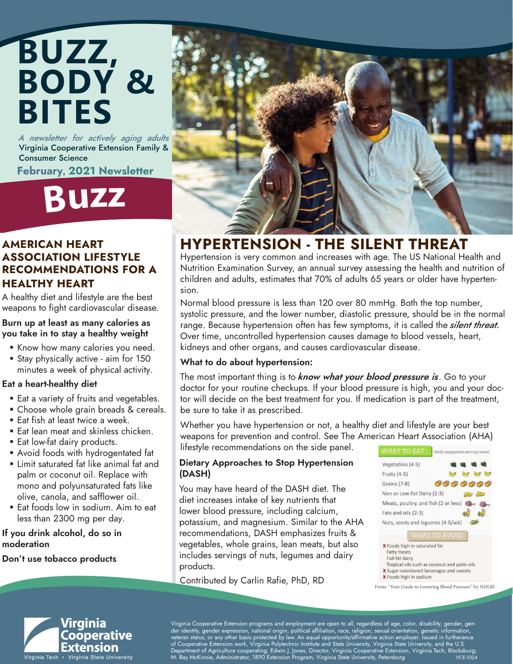## **BUZZ, BODY & BITES**

A newsletter for actively aging adults Virginia Cooperative Extension Family & Consumer Science

February, 2021 Newsletter

## **Buz<sup>z</sup>**

### AMERICAN HEART ASSOCIATION LIFESTYLE RECOMMENDATIONS FOR A HEALTHY HEART

A healthy diet and lifestyle are the best weapons to fight cardiovascular disease.

#### Burn up at least as many calories as you take in to stay a healthy weight

- **Know how many calories you need.**
- **Stay physically active aim for 150** minutes a week of physical activity.

#### Eat a heart-healthy diet

- **Eat a variety of fruits and vegetables.**
- Choose whole grain breads & cereals.
- **Eat fish at least twice a week.**
- Eat lean meat and skinless chicken.
- **Eat low-fat dairy products.**
- Avoid foods with hydrogentated fat
- **Example 1** Limit saturated fat like animal fat and palm or coconut oil. Replace with mono and polyunsaturated fats like olive, canola, and safflower oil.
- **Eat foods low in sodium. Aim to eat** less than 2300 mg per day.

#### If you drink alcohol, do so in moderation

Don't use tobacco products



### HYPERTENSION - THE SILENT THREAT

Hypertension is very common and increases with age. The US National Health and Nutrition Examination Survey, an annual survey assessing the health and nutrition of children and adults, estimates that 70% of adults 65 years or older have hypertension.

Normal blood pressure is less than 120 over 80 mmHg. Both the top number, systolic pressure, and the lower number, diastolic pressure, should be in the normal range. Because hypertension often has few symptoms, it is called the *silent threat*. Over time, uncontrolled hypertension causes damage to blood vessels, heart, kidneys and other organs, and causes cardiovascular disease.

### What to do about hypertension:

The most important thing is to *know what your blood pressure is*. Go to your doctor for your routine checkups. If your blood pressure is high, you and your doctor will decide on the best treatment for you. If medication is part of the treatment, be sure to take it as prescribed.

Whether you have hypertension or not, a healthy diet and lifestyle are your best weapons for prevention and control. See The American Heart Association (AHA) lifestyle recommendations on the side panel.

### Dietary Approaches to Stop Hypertension (DASH)

You may have heard of the DASH diet. The diet increases intake of key nutrients that lower blood pressure, including calcium, potassium, and magnesium. Similar to the AHA recommendations, DASH emphasizes fruits & vegetables, whole grains, lean meats, but also includes servings of nuts, legumes and dairy products.





Virginia Cooperative Extension programs and employment are open to all, regardless of age, color, disability, gender, gender identity, gender expression, national origin, political affiliation, race, religion, sexual orientation, genetic information, veteran status, or any other basis protected by law. An equal opportunity/affirmative action employer. Issued in furtherance of Cooperative Extension work, Virginia Polytechnic Institute and State University, Virginia State University, and the U.S. , Department of Agriculture cooperating. Edwin J. Jones, Director, Virginia Cooperative Extension, Virginia Tech, Blacksburg;<br>M. Ray McKinnie, Administrator, 1890 Extension Program, Virginia State University, Petersburg